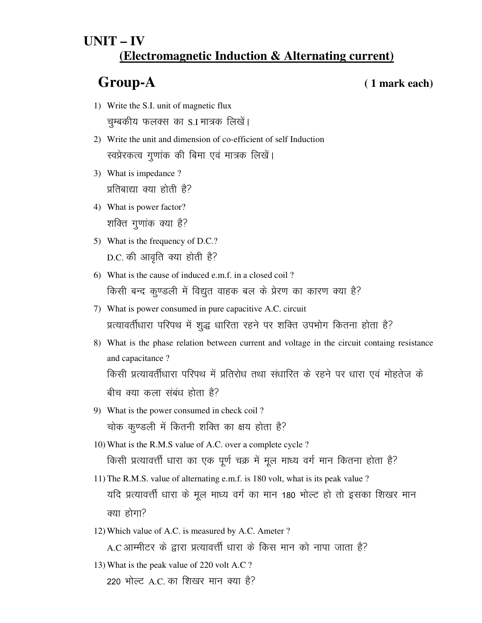## **UNIT – IV (Electromagnetic Induction & Alternating current)**

**Group-A ( 1 mark each)**

- 1) Write the S.I. unit of magnetic flux चुम्बकीय फलक्स का S.I मात्रक लिखें।
- 2) Write the unit and dimension of co-efficient of self Induction रवप्रेरकत्व गुणांक की बिमा एवं मात्रक लिखें।
- 3) What is impedance ? प्रतिबाद्या क्या होती है?
- 4) What is power factor? शक्ति गुणांक क्या है?
- 5) What is the frequency of D.C.? D.C. की आवृति क्या होती है?
- 6) What is the cause of induced e.m.f. in a closed coil ? किसी बन्द कुण्डली में विद्युत वाहक बल के प्रेरण का कारण क्या है?
- 7) What is power consumed in pure capacitive A.C. circuit प्रत्यावर्तीधारा परिपथ में शुद्ध धारिता रहने पर शक्ति उपभोग कितना होता है?
- 8) What is the phase relation between current and voltage in the circuit containg resistance and capacitance ? किसी प्रत्यावर्तीधारा परिपथ में प्रतिरोध तथा संधारित के रहने पर धारा एवं मोहतेज के बीच क्या कला संबंध होता है?
- 9) What is the power consumed in check coil ? चोक कुण्डली में कितनी शक्ति का क्षय होता है?
- 10) What is the R.M.S value of A.C. over a complete cycle ? किसी प्रत्यावर्त्ती धारा का एक पूर्ण चक्र में मूल माध्य वर्ग मान कितना होता है?
- 11) The R.M.S. value of alternating e.m.f. is 180 volt, what is its peak value ? यदि प्रत्यावर्त्ती धारा के मूल माध्य वर्ग का मान 180 भोल्ट हो तो इसका शिखर मान क्या होगा $\overline{?}$
- 12) Which value of A.C. is measured by A.C. Ameter ? A.C आम्मीटर के द्वारा प्रत्यावर्त्ती धारा के किस मान को नापा जाता है?
- 13) What is the peak value of 220 volt A.C ?  $220$  भोल्ट A.C. का शिखर मान क्या है?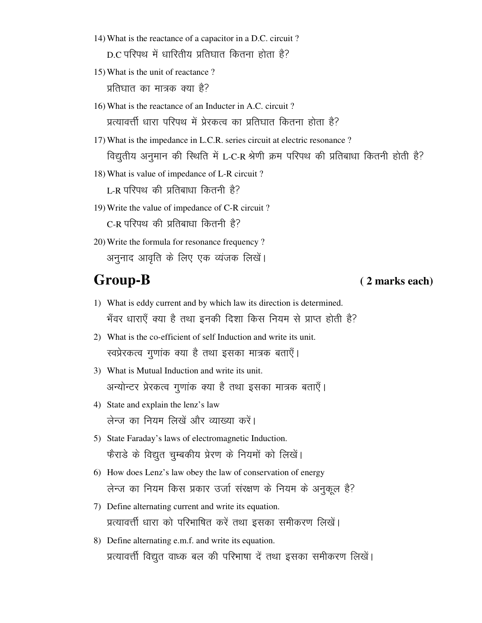- 14) What is the reactance of a capacitor in a D.C. circuit ? D.C परिपथ में धारितीय प्रतिघात कितना होता है?
- 15) What is the unit of reactance?

प्रतिघात का मात्रक क्या है?

- 16) What is the reactance of an Inducter in A.C. circuit? प्रत्यावर्त्ती धारा परिपथ में प्रेरकत्व का प्रतिघात कितना होता है?
- 17) What is the impedance in L.C.R. series circuit at electric resonance? विद्युतीय अनुमान की स्थिति में L-C-R श्रेणी क्रम परिपथ की प्रतिबाधा कितनी होती है?
- 18) What is value of impedance of L-R circuit? L-R परिपथ की प्रतिबाधा कितनी है?
- 19) Write the value of impedance of C-R circuit? C-R परिपथ की प्रतिबाधा कितनी है?
- 20) Write the formula for resonance frequency? अनुनाद आवृति के लिए एक व्यंजक लिखें।

# **Group-B**

### (2 marks each)

- 1) What is eddy current and by which law its direction is determined. भँवर धाराएँ क्या है तथा इनकी दिशा किस नियम से प्राप्त होती है?
- 2) What is the co-efficient of self Induction and write its unit. स्वप्रेरकत्व गुणांक क्या है तथा इसका मात्रक बताएँ।
- 3) What is Mutual Induction and write its unit. अन्योन्टर प्रेरकत्व गुणांक क्या है तथा इसका मात्रक बताएँ।
- 4) State and explain the lenz's law लेन्ज का नियम लिखें और व्याख्या करें।
- 5) State Faraday's laws of electromagnetic Induction. फैराडे के विद्युत चुम्बकीय प्रेरण के नियमों को लिखें।
- 6) How does Lenz's law obey the law of conservation of energy लेन्ज का नियम किस प्रकार उर्जा संरक्षण के नियम के अनुकूल है?
- 7) Define alternating current and write its equation. प्रत्यावर्त्ती धारा को परिभाषित करें तथा इसका समीकरण लिखें।
- 8) Define alternating e.m.f. and write its equation. प्रत्यावर्त्ती विद्युत वाध्क बल की परिभाषा दें तथा इसका समीकरण लिखें।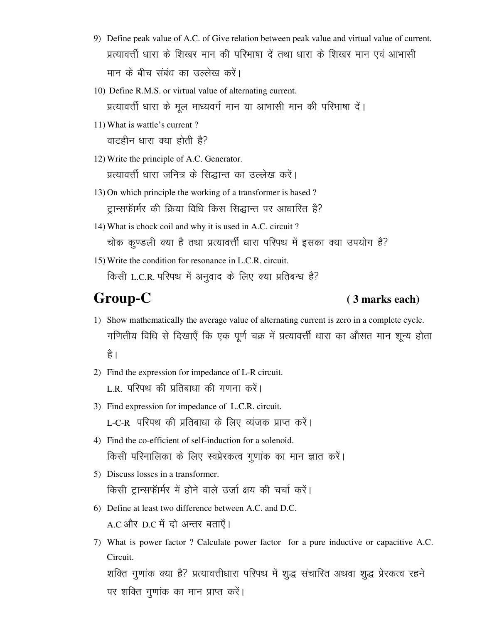- 9) Define peak value of A.C. of Give relation between peak value and virtual value of current. प्रत्यावर्त्ती धारा के शिखर मान की परिभाषा दें तथा धारा के शिखर मान एवं आभासी मान के बीच संबंध का उल्लेख करें।
- 10) Define R.M.S. or virtual value of alternating current. प्रत्यावर्त्ती धारा के मूल माध्यवर्ग मान या आभासी मान की परिभाषा दें।
- 11) What is wattle's current ? वाटहीन धारा क्या होती है?
- 12) Write the principle of A.C. Generator. प्रत्यावर्त्ती धारा जनित्र के सिद्धान्त का उल्लेख करें।
- 13) On which principle the working of a transformer is based ? ट्रान्सफॅार्मर की क्रिया विधि किस सिद्धान्त पर आधारित है?
- 14) What is chock coil and why it is used in A.C. circuit ? चोक कण्डली क्या है तथा प्रत्यावर्त्ती धारा परिपथ में इसका क्या उपयोग है?
- 15) Write the condition for resonance in L.C.R. circuit. किसी L.C.R. परिपथ में अनुवाद के लिए क्या प्रतिबन्ध है?

### Group-C **C** (3 marks each)

- 1) Show mathematically the average value of alternating current is zero in a complete cycle. गणितीय विधि से दिखाएँ कि एक पूर्ण चक्र में प्रत्यावर्त्ती धारा का औसत मान शून्य होता है ।
- 2) Find the expression for impedance of L-R circuit. L.R. परिपथ की प्रतिबाधा की गणना करें।
- 3) Find expression for impedance of L.C.R. circuit. L-C-R परिपथ की प्रतिबाधा के लिए व्यंजक प्राप्त करें।
- 4) Find the co-efficient of self-induction for a solenoid. किसी परिनालिका के लिए स्वप्रेरकत्व गुणांक का मान ज्ञात करें।
- 5) Discuss losses in a transformer. किसी ट्रान्सफॉर्मर में होने वाले उर्जा क्षय की चर्चा करें।
- 6) Define at least two difference between A.C. and D.C. A.C और D.C में दो अन्तर बताएँ।
- 7) What is power factor ? Calculate power factor for a pure inductive or capacitive A.C. Circuit.

शक्ति गुणांक क्या है? प्रत्यावत्तीधारा परिपथ में शुद्ध संचारित अथवा शुद्ध प्रेरकत्व रहने पर शक्ति गुणांक का मान प्राप्त करें।